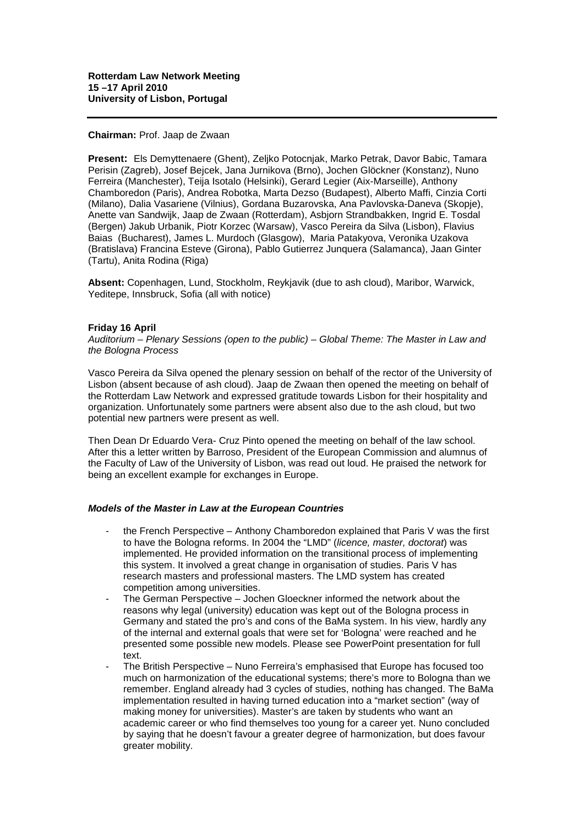## **Chairman:** Prof. Jaap de Zwaan

**Present:** Els Demyttenaere (Ghent), Zeljko Potocnjak, Marko Petrak, Davor Babic, Tamara Perisin (Zagreb), Josef Bejcek, Jana Jurnikova (Brno), Jochen Glöckner (Konstanz), Nuno Ferreira (Manchester), Teija Isotalo (Helsinki), Gerard Legier (Aix-Marseille), Anthony Chamboredon (Paris), Andrea Robotka, Marta Dezso (Budapest), Alberto Maffi, Cinzia Corti (Milano), Dalia Vasariene (Vilnius), Gordana Buzarovska, Ana Pavlovska-Daneva (Skopje), Anette van Sandwijk, Jaap de Zwaan (Rotterdam), Asbjorn Strandbakken, Ingrid E. Tosdal (Bergen) Jakub Urbanik, Piotr Korzec (Warsaw), Vasco Pereira da Silva (Lisbon), Flavius Baias (Bucharest), James L. Murdoch (Glasgow), Maria Patakyova, Veronika Uzakova (Bratislava) Francina Esteve (Girona), Pablo Gutierrez Junquera (Salamanca), Jaan Ginter (Tartu), Anita Rodina (Riga)

**Absent:** Copenhagen, Lund, Stockholm, Reykjavik (due to ash cloud), Maribor, Warwick, Yeditepe, Innsbruck, Sofia (all with notice)

## **Friday 16 April**

*Auditorium – Plenary Sessions (open to the public) – Global Theme: The Master in Law and the Bologna Process*

Vasco Pereira da Silva opened the plenary session on behalf of the rector of the University of Lisbon (absent because of ash cloud). Jaap de Zwaan then opened the meeting on behalf of the Rotterdam Law Network and expressed gratitude towards Lisbon for their hospitality and organization. Unfortunately some partners were absent also due to the ash cloud, but two potential new partners were present as well.

Then Dean Dr Eduardo Vera- Cruz Pinto opened the meeting on behalf of the law school. After this a letter written by Barroso, President of the European Commission and alumnus of the Faculty of Law of the University of Lisbon, was read out loud. He praised the network for being an excellent example for exchanges in Europe.

## *Models of the Master in Law at the European Countries*

- the French Perspective Anthony Chamboredon explained that Paris V was the first to have the Bologna reforms. In 2004 the "LMD" (*licence, master, doctorat*) was implemented. He provided information on the transitional process of implementing this system. It involved a great change in organisation of studies. Paris V has research masters and professional masters. The LMD system has created competition among universities.
- The German Perspective Jochen Gloeckner informed the network about the reasons why legal (university) education was kept out of the Bologna process in Germany and stated the pro's and cons of the BaMa system. In his view, hardly any of the internal and external goals that were set for 'Bologna' were reached and he presented some possible new models. Please see PowerPoint presentation for full text.
- The British Perspective Nuno Ferreira's emphasised that Europe has focused too much on harmonization of the educational systems; there's more to Bologna than we remember. England already had 3 cycles of studies, nothing has changed. The BaMa implementation resulted in having turned education into a "market section" (way of making money for universities). Master's are taken by students who want an academic career or who find themselves too young for a career yet. Nuno concluded by saying that he doesn't favour a greater degree of harmonization, but does favour greater mobility.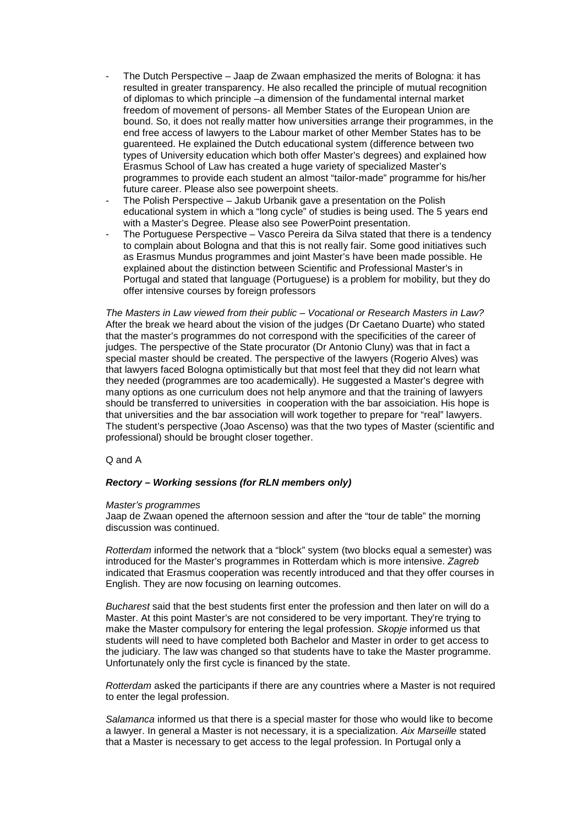- The Dutch Perspective Jaap de Zwaan emphasized the merits of Bologna: it has resulted in greater transparency. He also recalled the principle of mutual recognition of diplomas to which principle –a dimension of the fundamental internal market freedom of movement of persons- all Member States of the European Union are bound. So, it does not really matter how universities arrange their programmes, in the end free access of lawyers to the Labour market of other Member States has to be guarenteed. He explained the Dutch educational system (difference between two types of University education which both offer Master's degrees) and explained how Erasmus School of Law has created a huge variety of specialized Master's programmes to provide each student an almost "tailor-made" programme for his/her future career. Please also see powerpoint sheets.
- The Polish Perspective Jakub Urbanik gave a presentation on the Polish educational system in which a "long cycle" of studies is being used. The 5 years end with a Master's Degree. Please also see PowerPoint presentation.
- The Portuguese Perspective Vasco Pereira da Silva stated that there is a tendency to complain about Bologna and that this is not really fair. Some good initiatives such as Erasmus Mundus programmes and joint Master's have been made possible. He explained about the distinction between Scientific and Professional Master's in Portugal and stated that language (Portuguese) is a problem for mobility, but they do offer intensive courses by foreign professors

*The Masters in Law viewed from their public – Vocational or Research Masters in Law?* After the break we heard about the vision of the judges (Dr Caetano Duarte) who stated that the master's programmes do not correspond with the specificities of the career of judges. The perspective of the State procurator (Dr Antonio Cluny) was that in fact a special master should be created. The perspective of the lawyers (Rogerio Alves) was that lawyers faced Bologna optimistically but that most feel that they did not learn what they needed (programmes are too academically). He suggested a Master's degree with many options as one curriculum does not help anymore and that the training of lawyers should be transferred to universities in cooperation with the bar assoiciation. His hope is that universities and the bar association will work together to prepare for "real" lawyers. The student's perspective (Joao Ascenso) was that the two types of Master (scientific and professional) should be brought closer together.

# Q and A

## *Rectory – Working sessions (for RLN members only)*

## *Master's programmes*

Jaap de Zwaan opened the afternoon session and after the "tour de table" the morning discussion was continued.

*Rotterdam* informed the network that a "block" system (two blocks equal a semester) was introduced for the Master's programmes in Rotterdam which is more intensive. *Zagreb* indicated that Erasmus cooperation was recently introduced and that they offer courses in English. They are now focusing on learning outcomes.

*Bucharest* said that the best students first enter the profession and then later on will do a Master. At this point Master's are not considered to be very important. They're trying to make the Master compulsory for entering the legal profession. *Skopje* informed us that students will need to have completed both Bachelor and Master in order to get access to the judiciary. The law was changed so that students have to take the Master programme. Unfortunately only the first cycle is financed by the state.

*Rotterdam* asked the participants if there are any countries where a Master is not required to enter the legal profession.

*Salamanca* informed us that there is a special master for those who would like to become a lawyer. In general a Master is not necessary, it is a specialization. *Aix Marseille* stated that a Master is necessary to get access to the legal profession. In Portugal only a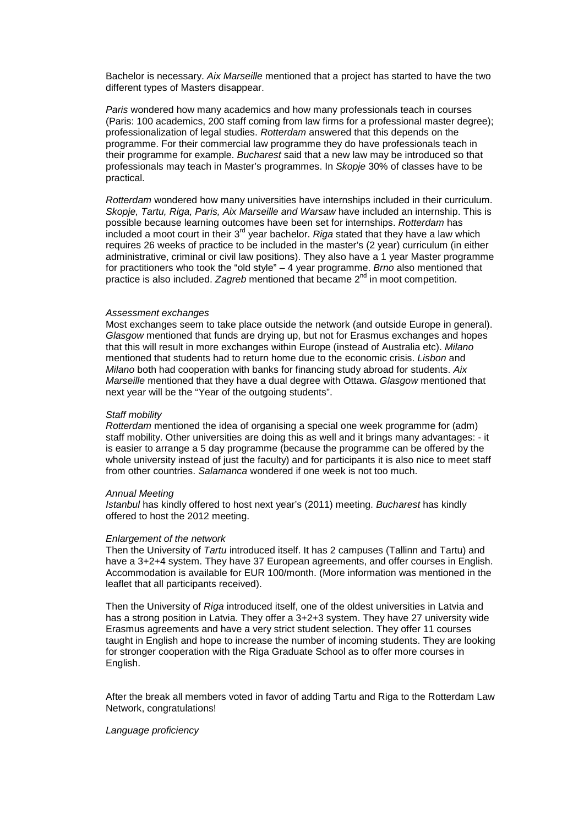Bachelor is necessary. *Aix Marseille* mentioned that a project has started to have the two different types of Masters disappear.

*Paris* wondered how many academics and how many professionals teach in courses (Paris: 100 academics, 200 staff coming from law firms for a professional master degree); professionalization of legal studies. *Rotterdam* answered that this depends on the programme. For their commercial law programme they do have professionals teach in their programme for example. *Bucharest* said that a new law may be introduced so that professionals may teach in Master's programmes. In *Skopje* 30% of classes have to be practical.

*Rotterdam* wondered how many universities have internships included in their curriculum. *Skopje, Tartu, Riga, Paris, Aix Marseille and Warsaw* have included an internship. This is possible because learning outcomes have been set for internships. *Rotterdam* has included a moot court in their 3rd year bachelor. *Riga* stated that they have a law which requires 26 weeks of practice to be included in the master's (2 year) curriculum (in either administrative, criminal or civil law positions). They also have a 1 year Master programme for practitioners who took the "old style" – 4 year programme. *Brno* also mentioned that practice is also included. *Zagreb* mentioned that became 2<sup>nd</sup> in moot competition.

## *Assessment exchanges*

Most exchanges seem to take place outside the network (and outside Europe in general). *Glasgow* mentioned that funds are drying up, but not for Erasmus exchanges and hopes that this will result in more exchanges within Europe (instead of Australia etc). *Milano*  mentioned that students had to return home due to the economic crisis. *Lisbon* and *Milano* both had cooperation with banks for financing study abroad for students. *Aix Marseille* mentioned that they have a dual degree with Ottawa. *Glasgow* mentioned that next year will be the "Year of the outgoing students".

## *Staff mobility*

*Rotterdam* mentioned the idea of organising a special one week programme for (adm) staff mobility. Other universities are doing this as well and it brings many advantages: - it is easier to arrange a 5 day programme (because the programme can be offered by the whole university instead of just the faculty) and for participants it is also nice to meet staff from other countries. *Salamanca* wondered if one week is not too much.

## *Annual Meeting*

*Istanbul* has kindly offered to host next year's (2011) meeting. *Bucharest* has kindly offered to host the 2012 meeting.

## *Enlargement of the network*

Then the University of *Tartu* introduced itself. It has 2 campuses (Tallinn and Tartu) and have a 3+2+4 system. They have 37 European agreements, and offer courses in English. Accommodation is available for EUR 100/month. (More information was mentioned in the leaflet that all participants received).

Then the University of *Riga* introduced itself, one of the oldest universities in Latvia and has a strong position in Latvia. They offer a 3+2+3 system. They have 27 university wide Erasmus agreements and have a very strict student selection. They offer 11 courses taught in English and hope to increase the number of incoming students. They are looking for stronger cooperation with the Riga Graduate School as to offer more courses in English.

After the break all members voted in favor of adding Tartu and Riga to the Rotterdam Law Network, congratulations!

## *Language proficiency*